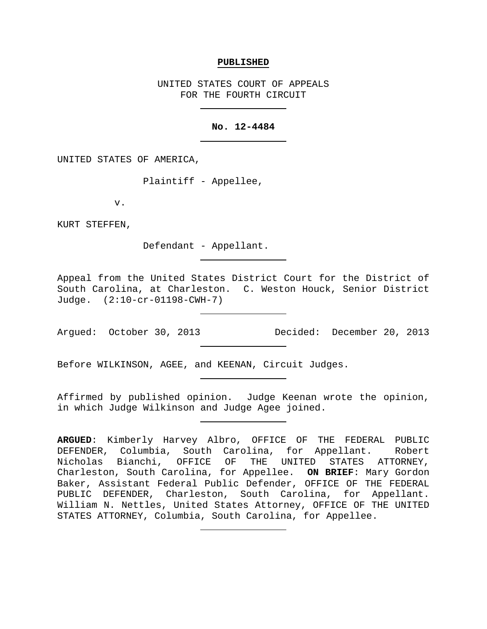### **PUBLISHED**

UNITED STATES COURT OF APPEALS FOR THE FOURTH CIRCUIT

### **No. 12-4484**

UNITED STATES OF AMERICA,

Plaintiff - Appellee,

v.

KURT STEFFEN,

Defendant - Appellant.

Appeal from the United States District Court for the District of South Carolina, at Charleston. C. Weston Houck, Senior District Judge. (2:10-cr-01198-CWH-7)

Argued: October 30, 2013 Decided: December 20, 2013

Before WILKINSON, AGEE, and KEENAN, Circuit Judges.

Affirmed by published opinion. Judge Keenan wrote the opinion, in which Judge Wilkinson and Judge Agee joined.

**ARGUED**: Kimberly Harvey Albro, OFFICE OF THE FEDERAL PUBLIC DEFENDER, Columbia, South Carolina, for Appellant. Robert<br>Nicholas Bianchi, OFFICE OF THE UNITED STATES ATTORNEY, Nicholas Bianchi, OFFICE OF THE UNITED Charleston, South Carolina, for Appellee. **ON BRIEF**: Mary Gordon Baker, Assistant Federal Public Defender, OFFICE OF THE FEDERAL PUBLIC DEFENDER, Charleston, South Carolina, for Appellant. William N. Nettles, United States Attorney, OFFICE OF THE UNITED STATES ATTORNEY, Columbia, South Carolina, for Appellee.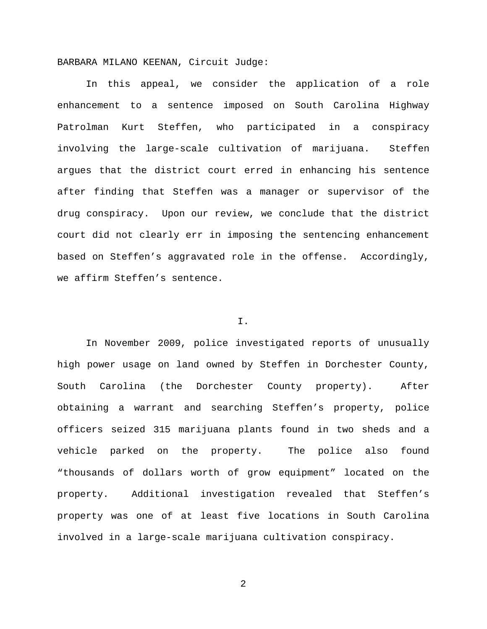BARBARA MILANO KEENAN, Circuit Judge:

In this appeal, we consider the application of a role enhancement to a sentence imposed on South Carolina Highway Patrolman Kurt Steffen, who participated in a conspiracy involving the large-scale cultivation of marijuana. Steffen argues that the district court erred in enhancing his sentence after finding that Steffen was a manager or supervisor of the drug conspiracy. Upon our review, we conclude that the district court did not clearly err in imposing the sentencing enhancement based on Steffen's aggravated role in the offense. Accordingly, we affirm Steffen's sentence.

## I.

In November 2009, police investigated reports of unusually high power usage on land owned by Steffen in Dorchester County, South Carolina (the Dorchester County property). After obtaining a warrant and searching Steffen's property, police officers seized 315 marijuana plants found in two sheds and a vehicle parked on the property. The police also found "thousands of dollars worth of grow equipment" located on the property. Additional investigation revealed that Steffen's property was one of at least five locations in South Carolina involved in a large-scale marijuana cultivation conspiracy.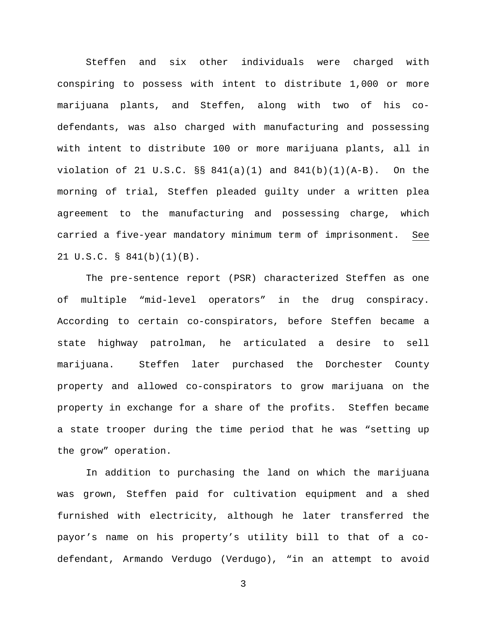Steffen and six other individuals were charged with conspiring to possess with intent to distribute 1,000 or more marijuana plants, and Steffen, along with two of his codefendants, was also charged with manufacturing and possessing with intent to distribute 100 or more marijuana plants, all in violation of 21 U.S.C. §§ 841(a)(1) and 841(b)(1)(A-B). On the morning of trial, Steffen pleaded guilty under a written plea agreement to the manufacturing and possessing charge, which carried a five-year mandatory minimum term of imprisonment. See 21 U.S.C. § 841(b)(1)(B).

The pre-sentence report (PSR) characterized Steffen as one of multiple "mid-level operators" in the drug conspiracy. According to certain co-conspirators, before Steffen became a state highway patrolman, he articulated a desire to sell marijuana. Steffen later purchased the Dorchester County property and allowed co-conspirators to grow marijuana on the property in exchange for a share of the profits. Steffen became a state trooper during the time period that he was "setting up the grow" operation.

In addition to purchasing the land on which the marijuana was grown, Steffen paid for cultivation equipment and a shed furnished with electricity, although he later transferred the payor's name on his property's utility bill to that of a codefendant, Armando Verdugo (Verdugo), "in an attempt to avoid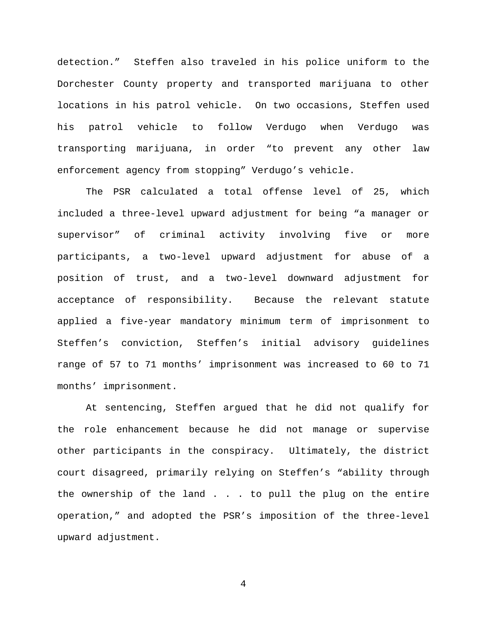detection." Steffen also traveled in his police uniform to the Dorchester County property and transported marijuana to other locations in his patrol vehicle. On two occasions, Steffen used his patrol vehicle to follow Verdugo when Verdugo was transporting marijuana, in order "to prevent any other law enforcement agency from stopping" Verdugo's vehicle.

The PSR calculated a total offense level of 25, which included a three-level upward adjustment for being "a manager or supervisor" of criminal activity involving five or more participants, a two-level upward adjustment for abuse of a position of trust, and a two-level downward adjustment for acceptance of responsibility. Because the relevant statute applied a five-year mandatory minimum term of imprisonment to Steffen's conviction, Steffen's initial advisory guidelines range of 57 to 71 months' imprisonment was increased to 60 to 71 months' imprisonment.

At sentencing, Steffen argued that he did not qualify for the role enhancement because he did not manage or supervise other participants in the conspiracy. Ultimately, the district court disagreed, primarily relying on Steffen's "ability through the ownership of the land . . . to pull the plug on the entire operation," and adopted the PSR's imposition of the three-level upward adjustment.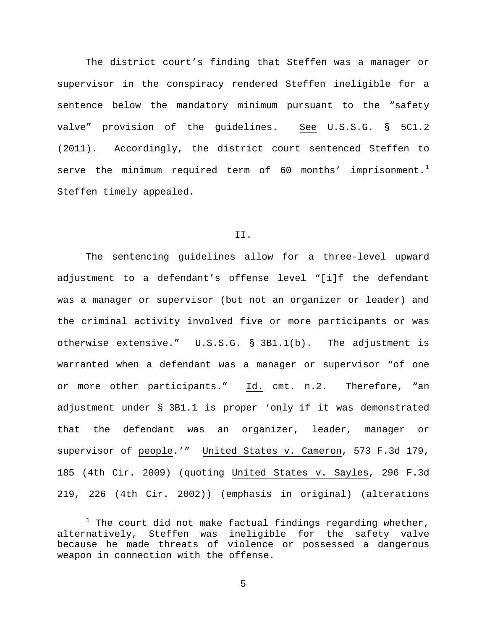The district court's finding that Steffen was a manager or supervisor in the conspiracy rendered Steffen ineligible for a sentence below the mandatory minimum pursuant to the "safety valve" provision of the guidelines. See U.S.S.G. § 5C1.2 (2011). Accordingly, the district court sentenced Steffen to serve the minimum required term of 60 months' imprisonment. $^1$  $^1$ Steffen timely appealed.

### II.

The sentencing guidelines allow for a three-level upward adjustment to a defendant's offense level "[i]f the defendant was a manager or supervisor (but not an organizer or leader) and the criminal activity involved five or more participants or was otherwise extensive." U.S.S.G. § 3B1.1(b). The adjustment is warranted when a defendant was a manager or supervisor "of one or more other participants." Id. cmt. n.2. Therefore, "an adjustment under § 3B1.1 is proper 'only if it was demonstrated that the defendant was an organizer, leader, manager or supervisor of people.'" United States v. Cameron, 573 F.3d 179, 185 (4th Cir. 2009) (quoting United States v. Sayles, 296 F.3d 219, 226 (4th Cir. 2002)) (emphasis in original) (alterations

<span id="page-4-0"></span> $1$  The court did not make factual findings regarding whether, alternatively, Steffen was ineligible for the safety valve because he made threats of violence or possessed a dangerous weapon in connection with the offense.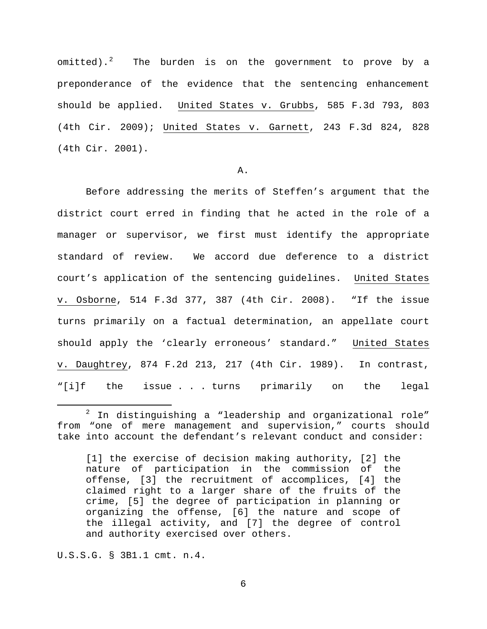omitted).<sup>[2](#page-5-0)</sup> The burden is on the government to prove by a preponderance of the evidence that the sentencing enhancement should be applied. United States v. Grubbs, 585 F.3d 793, 803 (4th Cir. 2009); United States v. Garnett, 243 F.3d 824, 828 (4th Cir. 2001).

# A.

Before addressing the merits of Steffen's argument that the district court erred in finding that he acted in the role of a manager or supervisor, we first must identify the appropriate standard of review. We accord due deference to a district court's application of the sentencing guidelines. United States v. Osborne, 514 F.3d 377, 387 (4th Cir. 2008). "If the issue turns primarily on a factual determination, an appellate court should apply the 'clearly erroneous' standard." United States v. Daughtrey, 874 F.2d 213, 217 (4th Cir. 1989). In contrast, "[i]f the issue . . . turns primarily on the legal

U.S.S.G. § 3B1.1 cmt. n.4.

<span id="page-5-0"></span> $2$  In distinguishing a "leadership and organizational role" from "one of mere management and supervision," courts should take into account the defendant's relevant conduct and consider:

<sup>[1]</sup> the exercise of decision making authority, [2] the nature of participation in the commission of the offense, [3] the recruitment of accomplices, [4] the claimed right to a larger share of the fruits of the crime, [5] the degree of participation in planning or organizing the offense, [6] the nature and scope of the illegal activity, and [7] the degree of control and authority exercised over others.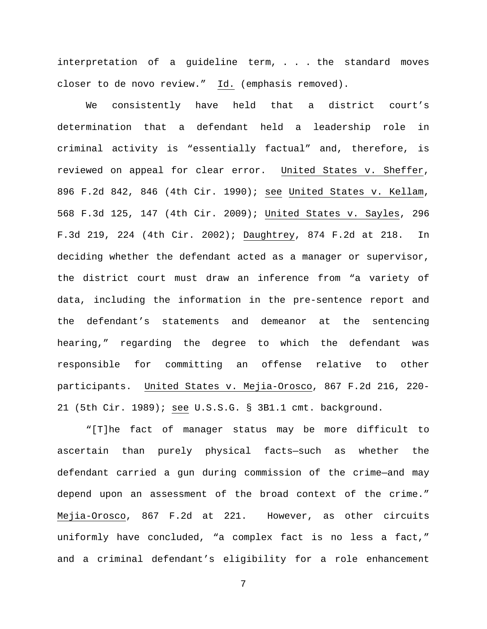interpretation of a guideline term, . . . the standard moves closer to de novo review." Id. (emphasis removed).

We consistently have held that a district court's determination that a defendant held a leadership role in criminal activity is "essentially factual" and, therefore, is reviewed on appeal for clear error. United States v. Sheffer, 896 F.2d 842, 846 (4th Cir. 1990); see United States v. Kellam, 568 F.3d 125, 147 (4th Cir. 2009); United States v. Sayles, 296 F.3d 219, 224 (4th Cir. 2002); Daughtrey, 874 F.2d at 218. In deciding whether the defendant acted as a manager or supervisor, the district court must draw an inference from "a variety of data, including the information in the pre-sentence report and the defendant's statements and demeanor at the sentencing hearing," regarding the degree to which the defendant was responsible for committing an offense relative to other participants. United States v. Mejia-Orosco, 867 F.2d 216, 220- 21 (5th Cir. 1989); see U.S.S.G. § 3B1.1 cmt. background.

"[T]he fact of manager status may be more difficult to ascertain than purely physical facts—such as whether the defendant carried a gun during commission of the crime—and may depend upon an assessment of the broad context of the crime." Mejia-Orosco, 867 F.2d at 221. However, as other circuits uniformly have concluded, "a complex fact is no less a fact," and a criminal defendant's eligibility for a role enhancement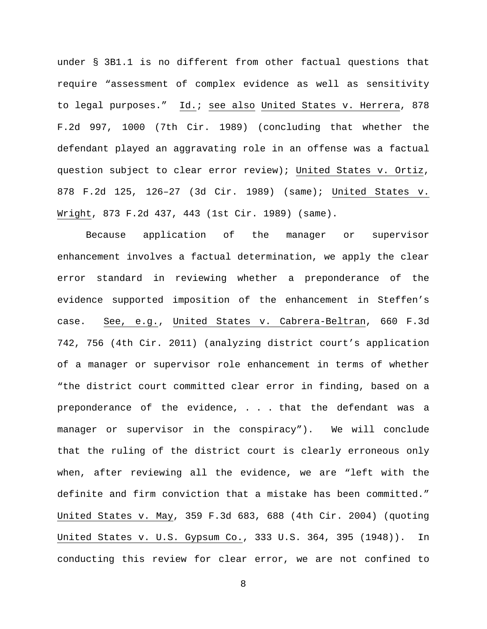under § 3B1.1 is no different from other factual questions that require "assessment of complex evidence as well as sensitivity to legal purposes." Id.; see also United States v. Herrera, 878 F.2d 997, 1000 (7th Cir. 1989) (concluding that whether the defendant played an aggravating role in an offense was a factual question subject to clear error review); United States v. Ortiz, 878 F.2d 125, 126–27 (3d Cir. 1989) (same); United States v. Wright, 873 F.2d 437, 443 (1st Cir. 1989) (same).

Because application of the manager or supervisor enhancement involves a factual determination, we apply the clear error standard in reviewing whether a preponderance of the evidence supported imposition of the enhancement in Steffen's case. See, e.g., United States v. Cabrera-Beltran, 660 F.3d 742, 756 (4th Cir. 2011) (analyzing district court's application of a manager or supervisor role enhancement in terms of whether "the district court committed clear error in finding, based on a preponderance of the evidence, . . . that the defendant was a manager or supervisor in the conspiracy"). We will conclude that the ruling of the district court is clearly erroneous only when, after reviewing all the evidence, we are "left with the definite and firm conviction that a mistake has been committed." United States v. May, 359 F.3d 683, 688 (4th Cir. 2004) (quoting United States v. U.S. Gypsum Co., 333 U.S. 364, 395 (1948)). In conducting this review for clear error, we are not confined to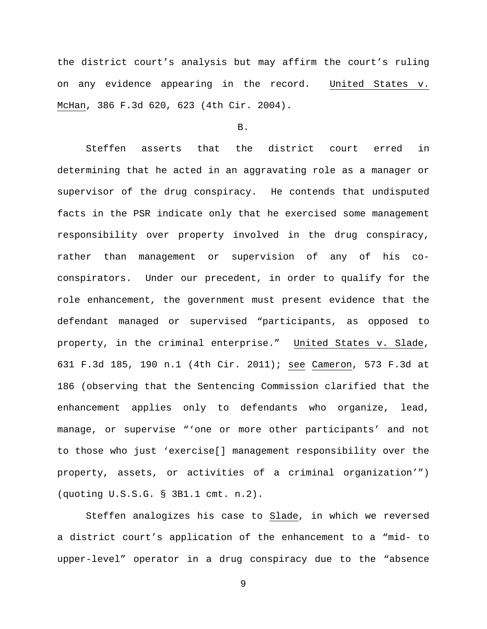the district court's analysis but may affirm the court's ruling on any evidence appearing in the record. United States v. McHan, 386 F.3d 620, 623 (4th Cir. 2004).

### B.

Steffen asserts that the district court erred in determining that he acted in an aggravating role as a manager or supervisor of the drug conspiracy. He contends that undisputed facts in the PSR indicate only that he exercised some management responsibility over property involved in the drug conspiracy, rather than management or supervision of any of his coconspirators. Under our precedent, in order to qualify for the role enhancement, the government must present evidence that the defendant managed or supervised "participants, as opposed to property, in the criminal enterprise." United States v. Slade, 631 F.3d 185, 190 n.1 (4th Cir. 2011); see Cameron, 573 F.3d at 186 (observing that the Sentencing Commission clarified that the enhancement applies only to defendants who organize, lead, manage, or supervise "'one or more other participants' and not to those who just 'exercise[] management responsibility over the property, assets, or activities of a criminal organization'") (quoting U.S.S.G. § 3B1.1 cmt. n.2).

Steffen analogizes his case to Slade, in which we reversed a district court's application of the enhancement to a "mid- to upper-level" operator in a drug conspiracy due to the "absence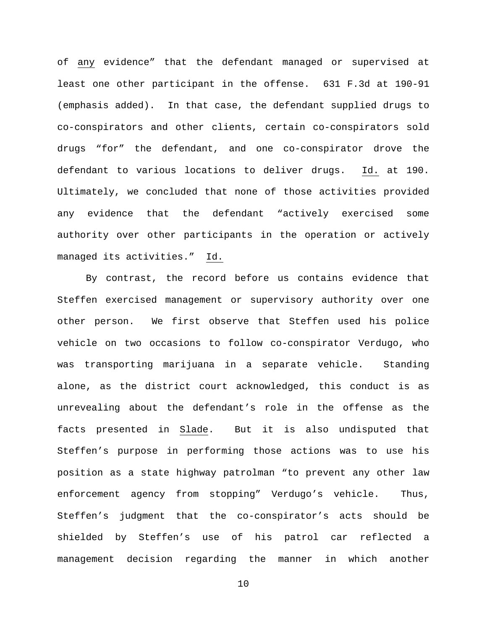of any evidence" that the defendant managed or supervised at least one other participant in the offense. 631 F.3d at 190-91 (emphasis added). In that case, the defendant supplied drugs to co-conspirators and other clients, certain co-conspirators sold drugs "for" the defendant, and one co-conspirator drove the defendant to various locations to deliver drugs. Id. at 190. Ultimately, we concluded that none of those activities provided any evidence that the defendant "actively exercised some authority over other participants in the operation or actively managed its activities." Id.

By contrast, the record before us contains evidence that Steffen exercised management or supervisory authority over one other person. We first observe that Steffen used his police vehicle on two occasions to follow co-conspirator Verdugo, who was transporting marijuana in a separate vehicle. Standing alone, as the district court acknowledged, this conduct is as unrevealing about the defendant's role in the offense as the facts presented in Slade. But it is also undisputed that Steffen's purpose in performing those actions was to use his position as a state highway patrolman "to prevent any other law enforcement agency from stopping" Verdugo's vehicle. Thus, Steffen's judgment that the co-conspirator's acts should be shielded by Steffen's use of his patrol car reflected a management decision regarding the manner in which another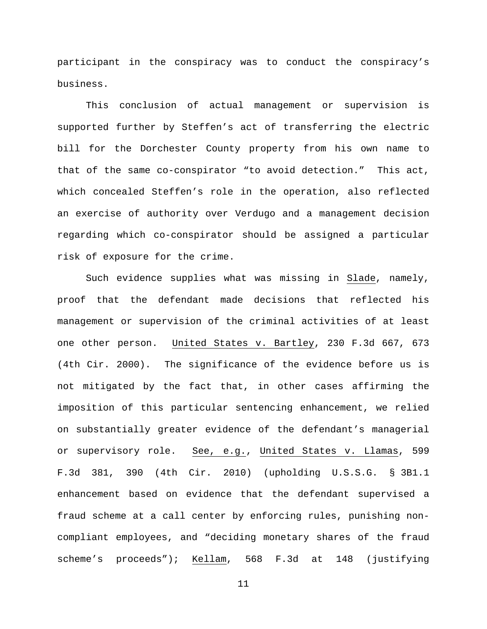participant in the conspiracy was to conduct the conspiracy's business.

This conclusion of actual management or supervision is supported further by Steffen's act of transferring the electric bill for the Dorchester County property from his own name to that of the same co-conspirator "to avoid detection." This act, which concealed Steffen's role in the operation, also reflected an exercise of authority over Verdugo and a management decision regarding which co-conspirator should be assigned a particular risk of exposure for the crime.

Such evidence supplies what was missing in Slade, namely, proof that the defendant made decisions that reflected his management or supervision of the criminal activities of at least one other person. United States v. Bartley, 230 F.3d 667, 673 (4th Cir. 2000). The significance of the evidence before us is not mitigated by the fact that, in other cases affirming the imposition of this particular sentencing enhancement, we relied on substantially greater evidence of the defendant's managerial or supervisory role. See, e.g., United States v. Llamas, 599 F.3d 381, 390 (4th Cir. 2010) (upholding U.S.S.G. § 3B1.1 enhancement based on evidence that the defendant supervised a fraud scheme at a call center by enforcing rules, punishing noncompliant employees, and "deciding monetary shares of the fraud scheme's proceeds"); Kellam, 568 F.3d at 148 (justifying